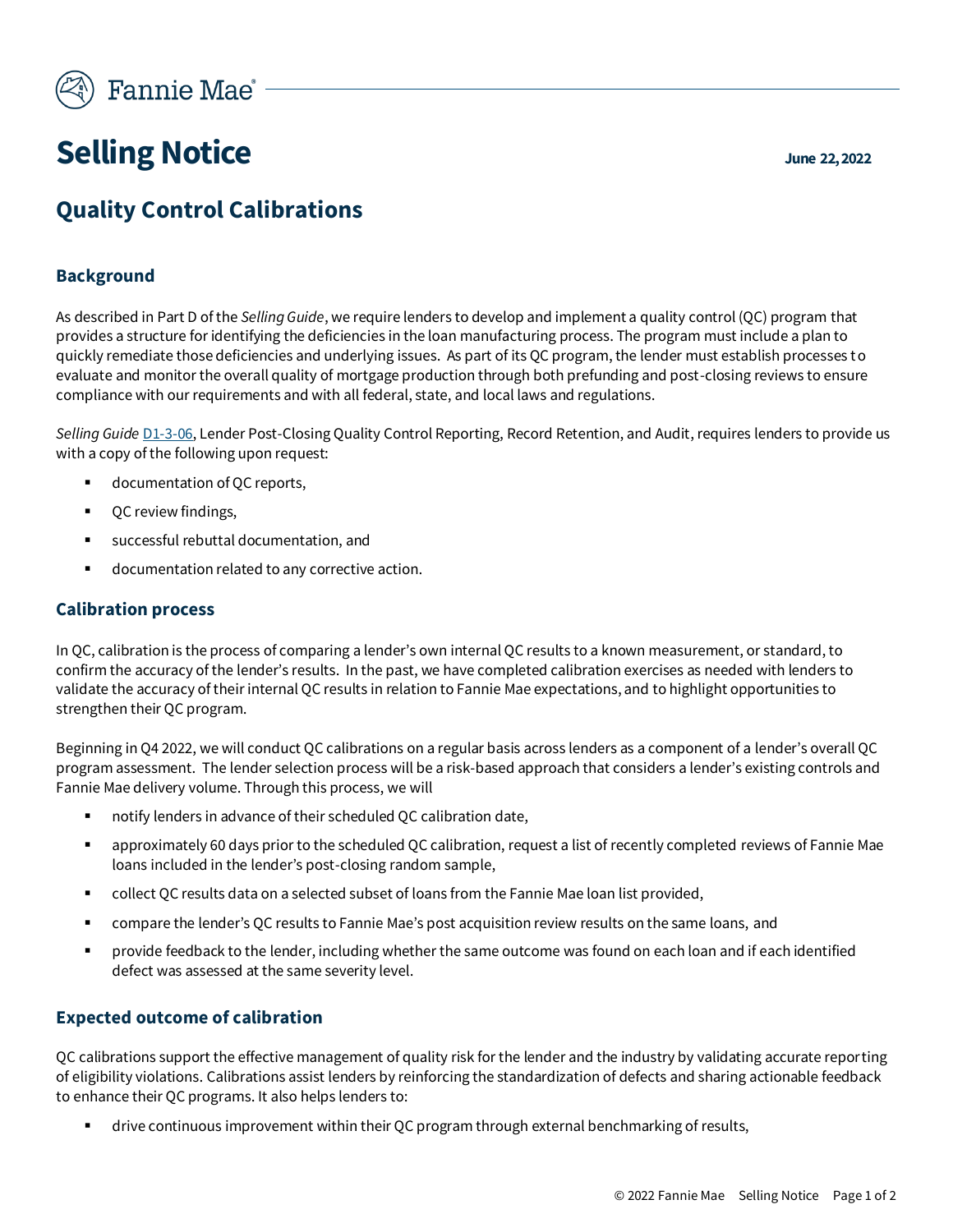

# **Selling Notice June 22, 2022**

# **Quality Control Calibrations**

## **Background**

As described in Part D of the *Selling Guide*, we require lenders to develop and implement a quality control (QC) program that provides a structure for identifying the deficiencies in the loan manufacturing process. The program must include a plan to quickly remediate those deficiencies and underlying issues. As part of its QC program, the lender must establish processes to evaluate and monitor the overall quality of mortgage production through both prefunding and post-closing reviews to ensure compliance with our requirements and with all federal, state, and local laws and regulations.

*Selling Guide* [D1-3-06,](https://selling-guide.fanniemae.com/Selling-Guide/Ensuring-Quality-Control-QC-/Subpart-D1-Lender-QC-Process/Chapter-D1-3-Lender-Post-Closing-QC-Mortgage-Review/1049146091/D1-3-06-Lender-Post-Closing-Quality-Control-Reporting-Record-Retention-and-Audit-08-07-2019.htm) Lender Post-Closing Quality Control Reporting, Record Retention, and Audit, requires lenders to provide us with a copy of the following upon request:

- documentation of QC reports,
- QC review findings,
- successful rebuttal documentation, and
- documentation related to any corrective action.

#### **Calibration process**

In QC, calibration is the process of comparing a lender's own internal QC results to a known measurement, or standard, to confirm the accuracy of the lender's results. In the past, we have completed calibration exercises as needed with lenders to validate the accuracy of their internal QC results in relation to Fannie Mae expectations, and to highlight opportunities to strengthen their QC program.

Beginning in Q4 2022, we will conduct QC calibrations on a regular basis across lenders as a component of a lender's overall QC program assessment. The lender selection process will be a risk-based approach that considers a lender's existing controls and Fannie Mae delivery volume. Through this process, we will

- notify lenders in advance of their scheduled QC calibration date,
- approximately 60 days prior to the scheduled QC calibration, request a list of recently completed reviews of Fannie Mae loans included in the lender's post-closing random sample,
- collect QC results data on a selected subset of loans from the Fannie Mae loan list provided,
- compare the lender's QC results to Fannie Mae's post acquisition review results on the same loans, and
- provide feedback to the lender, including whether the same outcome was found on each loan and if each identified defect was assessed at the same severity level.

### **Expected outcome of calibration**

QC calibrations support the effective management of quality risk for the lender and the industry by validating accurate reporting of eligibility violations. Calibrations assist lenders by reinforcing the standardization of defects and sharing actionable feedback to enhance their QC programs. It also helps lenders to:

drive continuous improvement within their QC program through external benchmarking of results,